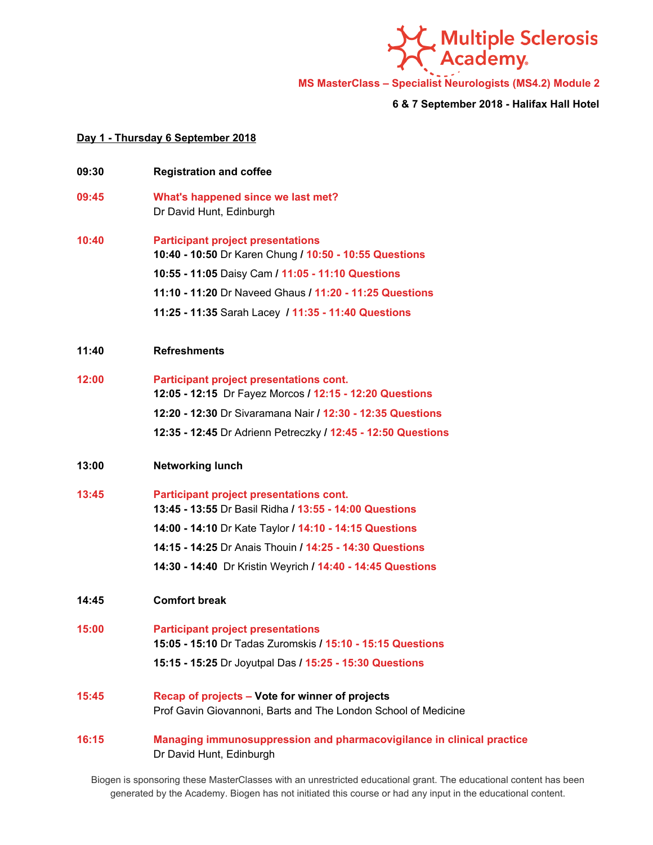

**MS MasterClass – Specialist Neurologists (MS4.2) Module 2**

**6 & 7 September 2018 - Halifax Hall Hotel**

## **Day 1 - Thursday 6 September 2018**

**09:30 Registration and coffee 09:45 What's happened since we last met?**

Dr David Hunt, Edinburgh

- **10:40 Participant project presentations 10:40 - 10:50** Dr K aren Chung **/ 10:50 - 10:55 Questions 10:55 - 11:05** Daisy Cam **/ 11:05 - 11:10 Questions 11:10 - 11:20** Dr Naveed Ghaus **/ 11:20 - 11:25 Questions 11:25 - 11:35** Sarah Lacey **/ 11:35 - 11:40 Questions**
- **11:40 Refreshments**
- **12:00 Participant project presentations cont. 12:05 - 12:15** Dr Fayez Morcos **/ 12:15 - 12:20 Questions 12:20 - 12:30** Dr Sivaramana Nair **/ 12:30 - 12:35 Questions 12:35 - 12:45** Dr Adrienn Petreczky **/ 12:45 - 12:50 Questions**
- **13:00 Networking lunch**
- **13:45 Participant project presentations cont. 13:45 - 13:55** Dr Basil Ridha **/ 13:55 - 14:00 Questions 14:00 - 14:10** Dr Kate Taylor **/ 14:10 - 14:15 Questions 14:15 - 14:25** Dr Anais Thouin **/ 14:25 - 14:30 Questions 14:30 - 14:40** Dr Kristin Weyrich **/ 14:40 - 14:45 Questions**
- **14:45 Comfort break**
- **15:00 Participant project presentations 15:05 - 15:10** Dr Tadas Zuromskis **/ 15:10 - 15:15 Questions 15:15 - 15:25** Dr J oyutpal Das **/ 15:25 - 15:30 Questions**
- **15:45 Recap of projects – Vote for winner of projects** Prof Gavin Giovannoni, Barts and The London School of Medicine
- **16:15 Managing immunosuppression and pharmacovigilance in clinical practice** Dr David Hunt, Edinburgh

Biogen is sponsoring these MasterClasses with an unrestricted educational grant. The educational content has been generated by the Academy. Biogen has not initiated this course or had any input in the educational content.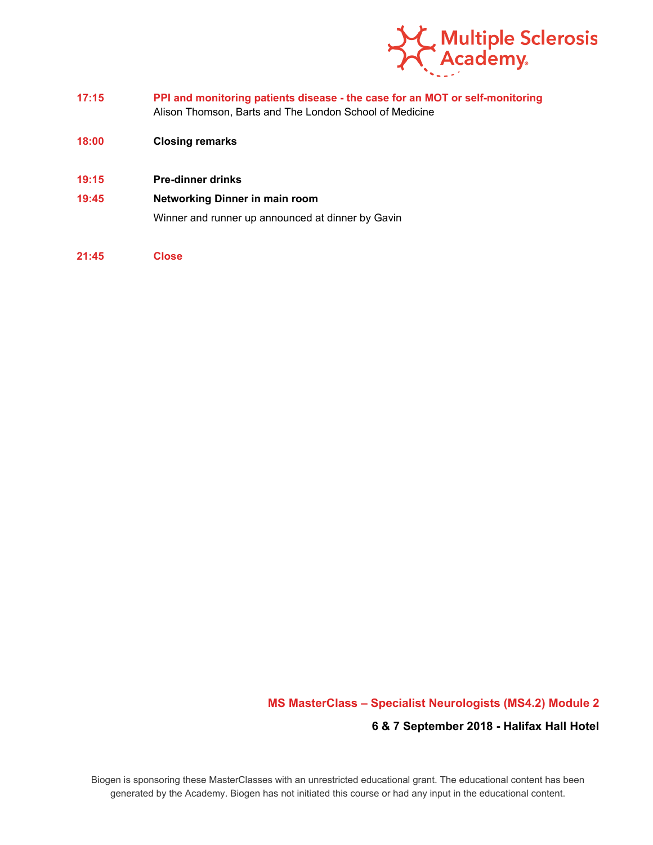

- **17:15 PPI and monitoring patients disease - the case for an MOT or self-monitoring** Alison Thomson, Barts and The London School of Medicine
- **18:00 Closing remarks**
- **19:15 Pre-dinner drinks**
- **19:45 Networking Dinner in main room**

Winner and runner up announced at dinner by Gavin

**21:45 Close**

## **MS MasterClass – Specialist Neurologists (MS4.2) Module 2**

## **6 & 7 September 2018 - Halifax Hall Hotel**

Biogen is sponsoring these MasterClasses with an unrestricted educational grant. The educational content has been generated by the Academy. Biogen has not initiated this course or had any input in the educational content.